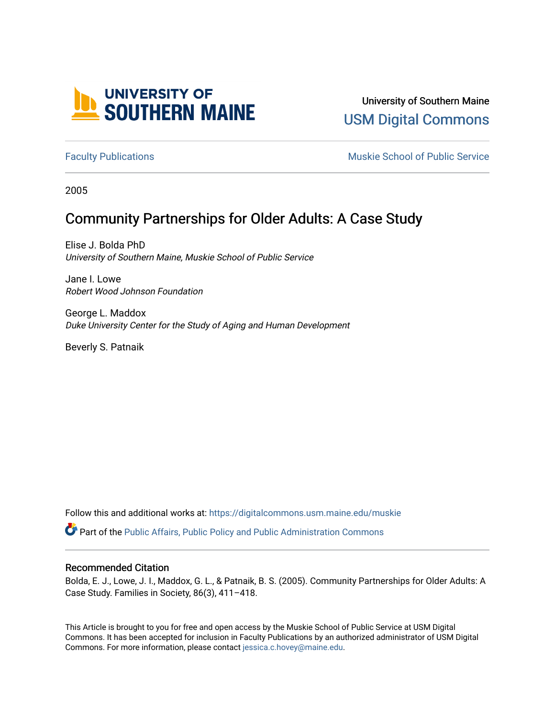

University of Southern Maine [USM Digital Commons](https://digitalcommons.usm.maine.edu/) 

[Faculty Publications](https://digitalcommons.usm.maine.edu/muskie) **Muskie School of Public Service Muskie School of Public Service** 

2005

## Community Partnerships for Older Adults: A Case Study

Elise J. Bolda PhD University of Southern Maine, Muskie School of Public Service

Jane I. Lowe Robert Wood Johnson Foundation

George L. Maddox Duke University Center for the Study of Aging and Human Development

Beverly S. Patnaik

Follow this and additional works at: [https://digitalcommons.usm.maine.edu/muskie](https://digitalcommons.usm.maine.edu/muskie?utm_source=digitalcommons.usm.maine.edu%2Fmuskie%2F6&utm_medium=PDF&utm_campaign=PDFCoverPages) 

Part of the [Public Affairs, Public Policy and Public Administration Commons](http://network.bepress.com/hgg/discipline/393?utm_source=digitalcommons.usm.maine.edu%2Fmuskie%2F6&utm_medium=PDF&utm_campaign=PDFCoverPages) 

#### Recommended Citation

Bolda, E. J., Lowe, J. I., Maddox, G. L., & Patnaik, B. S. (2005). Community Partnerships for Older Adults: A Case Study. Families in Society, 86(3), 411–418.

This Article is brought to you for free and open access by the Muskie School of Public Service at USM Digital Commons. It has been accepted for inclusion in Faculty Publications by an authorized administrator of USM Digital Commons. For more information, please contact [jessica.c.hovey@maine.edu.](mailto:ian.fowler@maine.edu)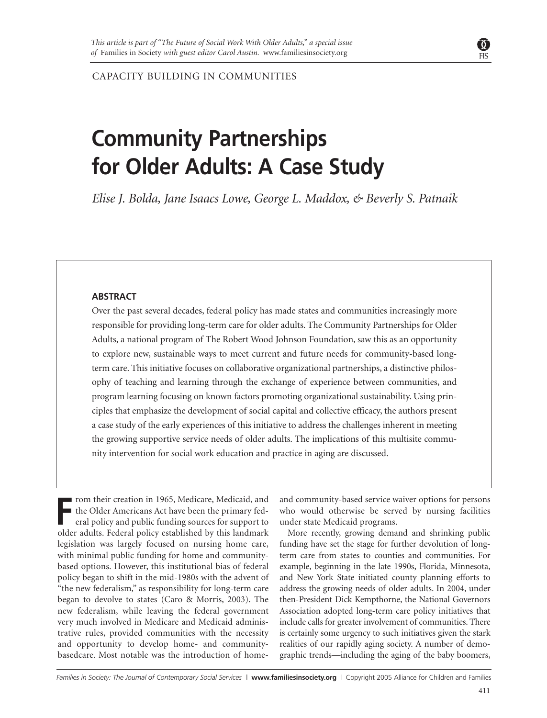CAPACITY BUILDING IN COMMUNITIES

# **Community Partnerships for Older Adults: A Case Study**

*Elise J. Bolda, Jane Isaacs Lowe, George L. Maddox, & Beverly S. Patnaik*

#### **ABSTRACT**

Over the past several decades, federal policy has made states and communities increasingly more responsible for providing long-term care for older adults. The Community Partnerships for Older Adults, a national program of The Robert Wood Johnson Foundation, saw this as an opportunity to explore new, sustainable ways to meet current and future needs for community-based longterm care. This initiative focuses on collaborative organizational partnerships, a distinctive philosophy of teaching and learning through the exchange of experience between communities, and program learning focusing on known factors promoting organizational sustainability. Using principles that emphasize the development of social capital and collective efficacy, the authors present a case study of the early experiences of this initiative to address the challenges inherent in meeting the growing supportive service needs of older adults. The implications of this multisite community intervention for social work education and practice in aging are discussed.

**FR** commute their creation in 1965, Medicare, Medicaid, and the Older Americans Act have been the primary federal policy and public funding sources for support to older adults. Federal policy established by this landmark rom their creation in 1965, Medicare, Medicaid, and the Older Americans Act have been the primary federal policy and public funding sources for support to legislation was largely focused on nursing home care, with minimal public funding for home and communitybased options. However, this institutional bias of federal policy began to shift in the mid-1980s with the advent of "the new federalism," as responsibility for long-term care began to devolve to states (Caro & Morris, 2003). The new federalism, while leaving the federal government very much involved in Medicare and Medicaid administrative rules, provided communities with the necessity and opportunity to develop home- and communitybasedcare. Most notable was the introduction of homeand community-based service waiver options for persons who would otherwise be served by nursing facilities under state Medicaid programs.

More recently, growing demand and shrinking public funding have set the stage for further devolution of longterm care from states to counties and communities. For example, beginning in the late 1990s, Florida, Minnesota, and New York State initiated county planning efforts to address the growing needs of older adults. In 2004, under then-President Dick Kempthorne, the National Governors Association adopted long-term care policy initiatives that include calls for greater involvement of communities. There is certainly some urgency to such initiatives given the stark realities of our rapidly aging society. A number of demographic trends—including the aging of the baby boomers,

*Families in Society: The Journal of Contemporary Social Services* | **www.familiesinsociety.org** | Copyright 2005 Alliance for Children and Families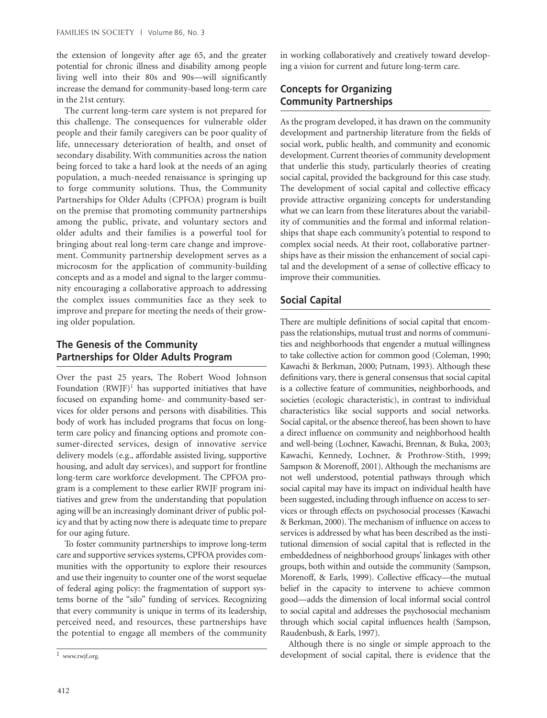the extension of longevity after age 65, and the greater potential for chronic illness and disability among people living well into their 80s and 90s—will significantly increase the demand for community-based long-term care in the 21st century.

The current long-term care system is not prepared for this challenge. The consequences for vulnerable older people and their family caregivers can be poor quality of life, unnecessary deterioration of health, and onset of secondary disability. With communities across the nation being forced to take a hard look at the needs of an aging population, a much-needed renaissance is springing up to forge community solutions. Thus, the Community Partnerships for Older Adults (CPFOA) program is built on the premise that promoting community partnerships among the public, private, and voluntary sectors and older adults and their families is a powerful tool for bringing about real long-term care change and improvement. Community partnership development serves as a microcosm for the application of community-building concepts and as a model and signal to the larger community encouraging a collaborative approach to addressing the complex issues communities face as they seek to improve and prepare for meeting the needs of their growing older population.

## **The Genesis of the Community Partnerships for Older Adults Program**

Over the past 25 years, The Robert Wood Johnson Foundation  $(RW)F$ <sup>1</sup> has supported initiatives that have focused on expanding home- and community-based services for older persons and persons with disabilities. This body of work has included programs that focus on longterm care policy and financing options and promote consumer-directed services, design of innovative service delivery models (e.g., affordable assisted living, supportive housing, and adult day services), and support for frontline long-term care workforce development. The CPFOA program is a complement to these earlier RWJF program initiatives and grew from the understanding that population aging will be an increasingly dominant driver of public policy and that by acting now there is adequate time to prepare for our aging future.

To foster community partnerships to improve long-term care and supportive services systems, CPFOA provides communities with the opportunity to explore their resources and use their ingenuity to counter one of the worst sequelae of federal aging policy: the fragmentation of support systems borne of the "silo" funding of services. Recognizing that every community is unique in terms of its leadership, perceived need, and resources, these partnerships have the potential to engage all members of the community in working collaboratively and creatively toward developing a vision for current and future long-term care.

## **Concepts for Organizing Community Partnerships**

As the program developed, it has drawn on the community development and partnership literature from the fields of social work, public health, and community and economic development. Current theories of community development that underlie this study, particularly theories of creating social capital, provided the background for this case study. The development of social capital and collective efficacy provide attractive organizing concepts for understanding what we can learn from these literatures about the variability of communities and the formal and informal relationships that shape each community's potential to respond to complex social needs. At their root, collaborative partnerships have as their mission the enhancement of social capital and the development of a sense of collective efficacy to improve their communities.

## **Social Capital**

There are multiple definitions of social capital that encompass the relationships, mutual trust and norms of communities and neighborhoods that engender a mutual willingness to take collective action for common good (Coleman, 1990; Kawachi & Berkman, 2000; Putnam, 1993). Although these definitions vary, there is general consensus that social capital is a collective feature of communities, neighborhoods, and societies (ecologic characteristic), in contrast to individual characteristics like social supports and social networks. Social capital, or the absence thereof, has been shown to have a direct influence on community and neighborhood health and well-being (Lochner, Kawachi, Brennan, & Buka, 2003; Kawachi, Kennedy, Lochner, & Prothrow-Stith, 1999; Sampson & Morenoff, 2001). Although the mechanisms are not well understood, potential pathways through which social capital may have its impact on individual health have been suggested, including through influence on access to services or through effects on psychosocial processes (Kawachi & Berkman, 2000). The mechanism of influence on access to services is addressed by what has been described as the institutional dimension of social capital that is reflected in the embeddedness of neighborhood groups' linkages with other groups, both within and outside the community (Sampson, Morenoff, & Earls, 1999). Collective efficacy—the mutual belief in the capacity to intervene to achieve common good—adds the dimension of local informal social control to social capital and addresses the psychosocial mechanism through which social capital influences health (Sampson, Raudenbush, & Earls, 1997).

Although there is no single or simple approach to the development of social capital, there is evidence that the

 $^{\rm 1}$ www.rwjf.org.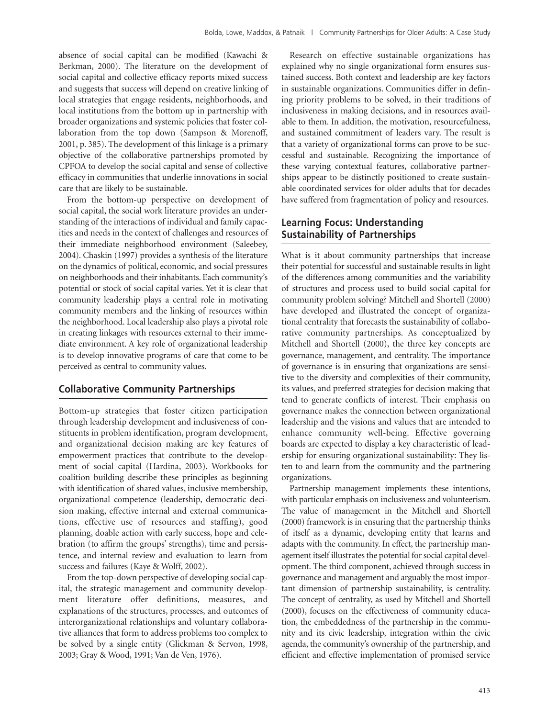absence of social capital can be modified (Kawachi & Berkman, 2000). The literature on the development of social capital and collective efficacy reports mixed success and suggests that success will depend on creative linking of local strategies that engage residents, neighborhoods, and local institutions from the bottom up in partnership with broader organizations and systemic policies that foster collaboration from the top down (Sampson & Morenoff, 2001, p. 385). The development of this linkage is a primary objective of the collaborative partnerships promoted by CPFOA to develop the social capital and sense of collective efficacy in communities that underlie innovations in social care that are likely to be sustainable.

From the bottom-up perspective on development of social capital, the social work literature provides an understanding of the interactions of individual and family capacities and needs in the context of challenges and resources of their immediate neighborhood environment (Saleebey, 2004). Chaskin (1997) provides a synthesis of the literature on the dynamics of political, economic, and social pressures on neighborhoods and their inhabitants. Each community's potential or stock of social capital varies. Yet it is clear that community leadership plays a central role in motivating community members and the linking of resources within the neighborhood. Local leadership also plays a pivotal role in creating linkages with resources external to their immediate environment. A key role of organizational leadership is to develop innovative programs of care that come to be perceived as central to community values.

#### **Collaborative Community Partnerships**

Bottom-up strategies that foster citizen participation through leadership development and inclusiveness of constituents in problem identification, program development, and organizational decision making are key features of empowerment practices that contribute to the development of social capital (Hardina, 2003). Workbooks for coalition building describe these principles as beginning with identification of shared values, inclusive membership, organizational competence (leadership, democratic decision making, effective internal and external communications, effective use of resources and staffing), good planning, doable action with early success, hope and celebration (to affirm the groups' strengths), time and persistence, and internal review and evaluation to learn from success and failures (Kaye & Wolff, 2002).

From the top-down perspective of developing social capital, the strategic management and community development literature offer definitions, measures, and explanations of the structures, processes, and outcomes of interorganizational relationships and voluntary collaborative alliances that form to address problems too complex to be solved by a single entity (Glickman & Servon, 1998, 2003; Gray & Wood, 1991; Van de Ven, 1976).

Research on effective sustainable organizations has explained why no single organizational form ensures sustained success. Both context and leadership are key factors in sustainable organizations. Communities differ in defining priority problems to be solved, in their traditions of inclusiveness in making decisions, and in resources available to them. In addition, the motivation, resourcefulness, and sustained commitment of leaders vary. The result is that a variety of organizational forms can prove to be successful and sustainable. Recognizing the importance of these varying contextual features, collaborative partnerships appear to be distinctly positioned to create sustainable coordinated services for older adults that for decades have suffered from fragmentation of policy and resources.

#### **Learning Focus: Understanding Sustainability of Partnerships**

What is it about community partnerships that increase their potential for successful and sustainable results in light of the differences among communities and the variability of structures and process used to build social capital for community problem solving? Mitchell and Shortell (2000) have developed and illustrated the concept of organizational centrality that forecasts the sustainability of collaborative community partnerships. As conceptualized by Mitchell and Shortell (2000), the three key concepts are governance, management, and centrality. The importance of governance is in ensuring that organizations are sensitive to the diversity and complexities of their community, its values, and preferred strategies for decision making that tend to generate conflicts of interest. Their emphasis on governance makes the connection between organizational leadership and the visions and values that are intended to enhance community well-being. Effective governing boards are expected to display a key characteristic of leadership for ensuring organizational sustainability: They listen to and learn from the community and the partnering organizations.

Partnership management implements these intentions, with particular emphasis on inclusiveness and volunteerism. The value of management in the Mitchell and Shortell (2000) framework is in ensuring that the partnership thinks of itself as a dynamic, developing entity that learns and adapts with the community. In effect, the partnership management itself illustrates the potential for social capital development. The third component, achieved through success in governance and management and arguably the most important dimension of partnership sustainability, is centrality. The concept of centrality, as used by Mitchell and Shortell (2000), focuses on the effectiveness of community education, the embeddedness of the partnership in the community and its civic leadership, integration within the civic agenda, the community's ownership of the partnership, and efficient and effective implementation of promised service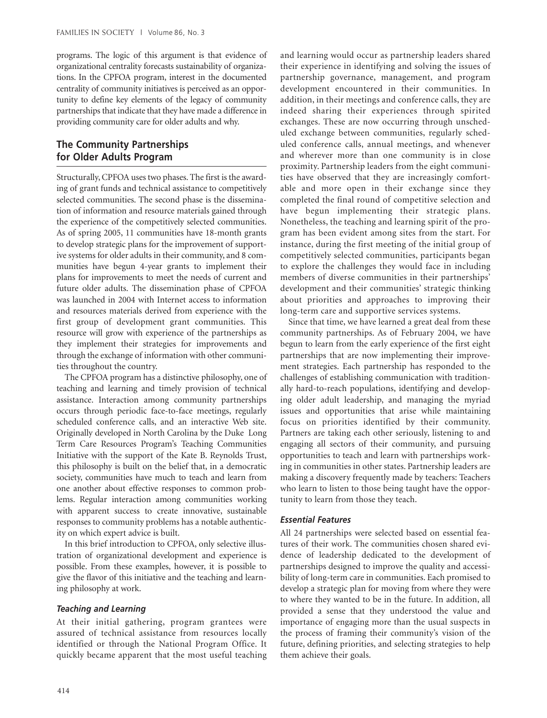programs. The logic of this argument is that evidence of organizational centrality forecasts sustainability of organizations. In the CPFOA program, interest in the documented centrality of community initiatives is perceived as an opportunity to define key elements of the legacy of community partnerships that indicate that they have made a difference in providing community care for older adults and why.

## **The Community Partnerships for Older Adults Program**

Structurally, CPFOA uses two phases. The first is the awarding of grant funds and technical assistance to competitively selected communities. The second phase is the dissemination of information and resource materials gained through the experience of the competitively selected communities. As of spring 2005, 11 communities have 18-month grants to develop strategic plans for the improvement of supportive systems for older adults in their community, and 8 communities have begun 4-year grants to implement their plans for improvements to meet the needs of current and future older adults. The dissemination phase of CPFOA was launched in 2004 with Internet access to information and resources materials derived from experience with the first group of development grant communities. This resource will grow with experience of the partnerships as they implement their strategies for improvements and through the exchange of information with other communities throughout the country.

The CPFOA program has a distinctive philosophy, one of teaching and learning and timely provision of technical assistance. Interaction among community partnerships occurs through periodic face-to-face meetings, regularly scheduled conference calls, and an interactive Web site. Originally developed in North Carolina by the Duke Long Term Care Resources Program's Teaching Communities Initiative with the support of the Kate B. Reynolds Trust, this philosophy is built on the belief that, in a democratic society, communities have much to teach and learn from one another about effective responses to common problems. Regular interaction among communities working with apparent success to create innovative, sustainable responses to community problems has a notable authenticity on which expert advice is built.

In this brief introduction to CPFOA, only selective illustration of organizational development and experience is possible. From these examples, however, it is possible to give the flavor of this initiative and the teaching and learning philosophy at work.

#### *Teaching and Learning*

At their initial gathering, program grantees were assured of technical assistance from resources locally identified or through the National Program Office. It quickly became apparent that the most useful teaching and learning would occur as partnership leaders shared their experience in identifying and solving the issues of partnership governance, management, and program development encountered in their communities. In addition, in their meetings and conference calls, they are indeed sharing their experiences through spirited exchanges. These are now occurring through unscheduled exchange between communities, regularly scheduled conference calls, annual meetings, and whenever and wherever more than one community is in close proximity. Partnership leaders from the eight communities have observed that they are increasingly comfortable and more open in their exchange since they completed the final round of competitive selection and have begun implementing their strategic plans. Nonetheless, the teaching and learning spirit of the program has been evident among sites from the start. For instance, during the first meeting of the initial group of competitively selected communities, participants began to explore the challenges they would face in including members of diverse communities in their partnerships' development and their communities' strategic thinking about priorities and approaches to improving their long-term care and supportive services systems.

Since that time, we have learned a great deal from these community partnerships. As of February 2004, we have begun to learn from the early experience of the first eight partnerships that are now implementing their improvement strategies. Each partnership has responded to the challenges of establishing communication with traditionally hard-to-reach populations, identifying and developing older adult leadership, and managing the myriad issues and opportunities that arise while maintaining focus on priorities identified by their community. Partners are taking each other seriously, listening to and engaging all sectors of their community, and pursuing opportunities to teach and learn with partnerships working in communities in other states. Partnership leaders are making a discovery frequently made by teachers: Teachers who learn to listen to those being taught have the opportunity to learn from those they teach.

#### *Essential Features*

All 24 partnerships were selected based on essential features of their work. The communities chosen shared evidence of leadership dedicated to the development of partnerships designed to improve the quality and accessibility of long-term care in communities. Each promised to develop a strategic plan for moving from where they were to where they wanted to be in the future. In addition, all provided a sense that they understood the value and importance of engaging more than the usual suspects in the process of framing their community's vision of the future, defining priorities, and selecting strategies to help them achieve their goals.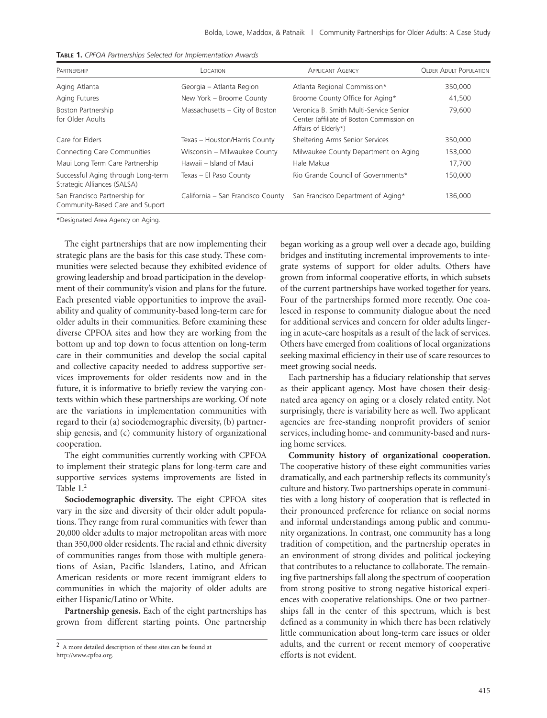|  |  |  | <b>TABLE 1.</b> CPFOA Partnerships Selected for Implementation Awards |  |
|--|--|--|-----------------------------------------------------------------------|--|
|--|--|--|-----------------------------------------------------------------------|--|

| PARTNERSHIP                                                       | LOCATION                          | <b>APPLICANT AGENCY</b>                                                                                     | <b>OLDER ADULT POPULATION</b> |
|-------------------------------------------------------------------|-----------------------------------|-------------------------------------------------------------------------------------------------------------|-------------------------------|
| Aging Atlanta                                                     | Georgia - Atlanta Region          | Atlanta Regional Commission*                                                                                | 350,000                       |
| Aging Futures                                                     | New York - Broome County          | Broome County Office for Aging*                                                                             | 41,500                        |
| Boston Partnership<br>for Older Adults                            | Massachusetts - City of Boston    | Veronica B. Smith Multi-Service Senior<br>Center (affiliate of Boston Commission on<br>Affairs of Elderly*) | 79,600                        |
| Care for Elders                                                   | Texas - Houston/Harris County     | Sheltering Arms Senior Services                                                                             | 350,000                       |
| Connecting Care Communities                                       | Wisconsin - Milwaukee County      | Milwaukee County Department on Aging                                                                        | 153,000                       |
| Maui Long Term Care Partnership                                   | Hawaii – Island of Maui           | Hale Makua                                                                                                  | 17,700                        |
| Successful Aging through Long-term<br>Strategic Alliances (SALSA) | Texas - El Paso County            | Rio Grande Council of Governments*                                                                          | 150,000                       |
| San Francisco Partnership for<br>Community-Based Care and Suport  | California - San Francisco County | San Francisco Department of Aging*                                                                          | 136,000                       |

\*Designated Area Agency on Aging.

The eight partnerships that are now implementing their strategic plans are the basis for this case study. These communities were selected because they exhibited evidence of growing leadership and broad participation in the development of their community's vision and plans for the future. Each presented viable opportunities to improve the availability and quality of community-based long-term care for older adults in their communities. Before examining these diverse CPFOA sites and how they are working from the bottom up and top down to focus attention on long-term care in their communities and develop the social capital and collective capacity needed to address supportive services improvements for older residents now and in the future, it is informative to briefly review the varying contexts within which these partnerships are working. Of note are the variations in implementation communities with regard to their (a) sociodemographic diversity, (b) partnership genesis, and (c) community history of organizational cooperation.

The eight communities currently working with CPFOA to implement their strategic plans for long-term care and supportive services systems improvements are listed in Table  $1.^2$ 

**Sociodemographic diversity.** The eight CPFOA sites vary in the size and diversity of their older adult populations. They range from rural communities with fewer than 20,000 older adults to major metropolitan areas with more than 350,000 older residents. The racial and ethnic diversity of communities ranges from those with multiple generations of Asian, Pacific Islanders, Latino, and African American residents or more recent immigrant elders to communities in which the majority of older adults are either Hispanic/Latino or White.

**Partnership genesis.** Each of the eight partnerships has grown from different starting points. One partnership began working as a group well over a decade ago, building bridges and instituting incremental improvements to integrate systems of support for older adults. Others have grown from informal cooperative efforts, in which subsets of the current partnerships have worked together for years. Four of the partnerships formed more recently. One coalesced in response to community dialogue about the need for additional services and concern for older adults lingering in acute-care hospitals as a result of the lack of services. Others have emerged from coalitions of local organizations seeking maximal efficiency in their use of scare resources to meet growing social needs.

Each partnership has a fiduciary relationship that serves as their applicant agency. Most have chosen their designated area agency on aging or a closely related entity. Not surprisingly, there is variability here as well. Two applicant agencies are free-standing nonprofit providers of senior services, including home- and community-based and nursing home services.

**Community history of organizational cooperation.** The cooperative history of these eight communities varies dramatically, and each partnership reflects its community's culture and history. Two partnerships operate in communities with a long history of cooperation that is reflected in their pronounced preference for reliance on social norms and informal understandings among public and community organizations. In contrast, one community has a long tradition of competition, and the partnership operates in an environment of strong divides and political jockeying that contributes to a reluctance to collaborate. The remaining five partnerships fall along the spectrum of cooperation from strong positive to strong negative historical experiences with cooperative relationships. One or two partnerships fall in the center of this spectrum, which is best defined as a community in which there has been relatively little communication about long-term care issues or older adults, and the current or recent memory of cooperative efforts is not evident.

<sup>2</sup> A more detailed description of these sites can be found at http://www.cpfoa.org.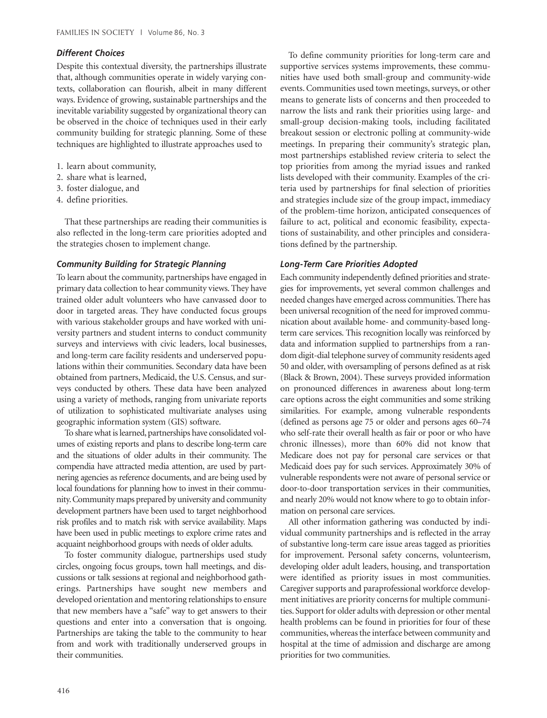#### *Different Choices*

Despite this contextual diversity, the partnerships illustrate that, although communities operate in widely varying contexts, collaboration can flourish, albeit in many different ways. Evidence of growing, sustainable partnerships and the inevitable variability suggested by organizational theory can be observed in the choice of techniques used in their early community building for strategic planning. Some of these techniques are highlighted to illustrate approaches used to

- 1. learn about community,
- 2. share what is learned,
- 3. foster dialogue, and
- 4. define priorities.

That these partnerships are reading their communities is also reflected in the long-term care priorities adopted and the strategies chosen to implement change.

#### *Community Building for Strategic Planning*

To learn about the community, partnerships have engaged in primary data collection to hear community views. They have trained older adult volunteers who have canvassed door to door in targeted areas. They have conducted focus groups with various stakeholder groups and have worked with university partners and student interns to conduct community surveys and interviews with civic leaders, local businesses, and long-term care facility residents and underserved populations within their communities. Secondary data have been obtained from partners, Medicaid, the U.S. Census, and surveys conducted by others. These data have been analyzed using a variety of methods, ranging from univariate reports of utilization to sophisticated multivariate analyses using geographic information system (GIS) software.

To share what is learned, partnerships have consolidated volumes of existing reports and plans to describe long-term care and the situations of older adults in their community. The compendia have attracted media attention, are used by partnering agencies as reference documents, and are being used by local foundations for planning how to invest in their community. Community maps prepared by university and community development partners have been used to target neighborhood risk profiles and to match risk with service availability. Maps have been used in public meetings to explore crime rates and acquaint neighborhood groups with needs of older adults.

To foster community dialogue, partnerships used study circles, ongoing focus groups, town hall meetings, and discussions or talk sessions at regional and neighborhood gatherings. Partnerships have sought new members and developed orientation and mentoring relationships to ensure that new members have a "safe" way to get answers to their questions and enter into a conversation that is ongoing. Partnerships are taking the table to the community to hear from and work with traditionally underserved groups in their communities.

To define community priorities for long-term care and supportive services systems improvements, these communities have used both small-group and community-wide events. Communities used town meetings, surveys, or other means to generate lists of concerns and then proceeded to narrow the lists and rank their priorities using large- and small-group decision-making tools, including facilitated breakout session or electronic polling at community-wide meetings. In preparing their community's strategic plan, most partnerships established review criteria to select the top priorities from among the myriad issues and ranked lists developed with their community. Examples of the criteria used by partnerships for final selection of priorities and strategies include size of the group impact, immediacy of the problem-time horizon, anticipated consequences of failure to act, political and economic feasibility, expectations of sustainability, and other principles and considerations defined by the partnership.

#### *Long-Term Care Priorities Adopted*

Each community independently defined priorities and strategies for improvements, yet several common challenges and needed changes have emerged across communities. There has been universal recognition of the need for improved communication about available home- and community-based longterm care services. This recognition locally was reinforced by data and information supplied to partnerships from a random digit-dial telephone survey of community residents aged 50 and older, with oversampling of persons defined as at risk (Black & Brown, 2004). These surveys provided information on pronounced differences in awareness about long-term care options across the eight communities and some striking similarities. For example, among vulnerable respondents (defined as persons age 75 or older and persons ages 60–74 who self-rate their overall health as fair or poor or who have chronic illnesses), more than 60% did not know that Medicare does not pay for personal care services or that Medicaid does pay for such services. Approximately 30% of vulnerable respondents were not aware of personal service or door-to-door transportation services in their communities, and nearly 20% would not know where to go to obtain information on personal care services.

All other information gathering was conducted by individual community partnerships and is reflected in the array of substantive long-term care issue areas tagged as priorities for improvement. Personal safety concerns, volunteerism, developing older adult leaders, housing, and transportation were identified as priority issues in most communities. Caregiver supports and paraprofessional workforce development initiatives are priority concerns for multiple communities. Support for older adults with depression or other mental health problems can be found in priorities for four of these communities, whereas the interface between community and hospital at the time of admission and discharge are among priorities for two communities.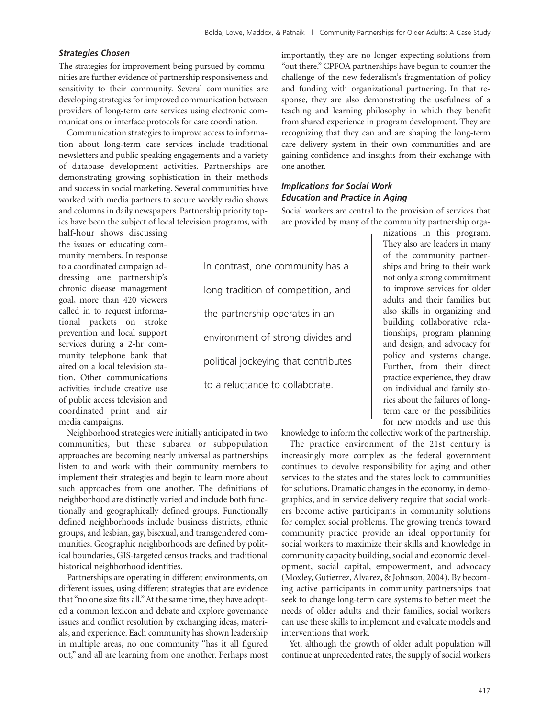#### *Strategies Chosen*

The strategies for improvement being pursued by communities are further evidence of partnership responsiveness and sensitivity to their community. Several communities are developing strategies for improved communication between providers of long-term care services using electronic communications or interface protocols for care coordination.

Communication strategies to improve access to information about long-term care services include traditional newsletters and public speaking engagements and a variety of database development activities. Partnerships are demonstrating growing sophistication in their methods and success in social marketing. Several communities have worked with media partners to secure weekly radio shows and columns in daily newspapers. Partnership priority topics have been the subject of local television programs, with

half-hour shows discussing the issues or educating community members. In response to a coordinated campaign addressing one partnership's chronic disease management goal, more than 420 viewers called in to request informational packets on stroke prevention and local support services during a 2-hr community telephone bank that aired on a local television station. Other communications activities include creative use of public access television and coordinated print and air media campaigns.

In contrast, one community has a long tradition of competition, and the partnership operates in an environment of strong divides and political jockeying that contributes to a reluctance to collaborate.

importantly, they are no longer expecting solutions from "out there." CPFOA partnerships have begun to counter the challenge of the new federalism's fragmentation of policy and funding with organizational partnering. In that response, they are also demonstrating the usefulness of a teaching and learning philosophy in which they benefit from shared experience in program development. They are recognizing that they can and are shaping the long-term care delivery system in their own communities and are gaining confidence and insights from their exchange with one another.

#### *Implications for Social Work Education and Practice in Aging*

Social workers are central to the provision of services that are provided by many of the community partnership orga-

> nizations in this program. They also are leaders in many of the community partnerships and bring to their work not only a strong commitment to improve services for older adults and their families but also skills in organizing and building collaborative relationships, program planning and design, and advocacy for policy and systems change. Further, from their direct practice experience, they draw on individual and family stories about the failures of longterm care or the possibilities for new models and use this

knowledge to inform the collective work of the partnership.

Neighborhood strategies were initially anticipated in two communities, but these subarea or subpopulation approaches are becoming nearly universal as partnerships listen to and work with their community members to implement their strategies and begin to learn more about such approaches from one another. The definitions of neighborhood are distinctly varied and include both functionally and geographically defined groups. Functionally defined neighborhoods include business districts, ethnic groups, and lesbian, gay, bisexual, and transgendered communities. Geographic neighborhoods are defined by political boundaries, GIS-targeted census tracks, and traditional historical neighborhood identities.

Partnerships are operating in different environments, on different issues, using different strategies that are evidence that "no one size fits all."At the same time, they have adopted a common lexicon and debate and explore governance issues and conflict resolution by exchanging ideas, materials, and experience. Each community has shown leadership in multiple areas, no one community "has it all figured out," and all are learning from one another. Perhaps most

The practice environment of the 21st century is increasingly more complex as the federal government continues to devolve responsibility for aging and other services to the states and the states look to communities for solutions. Dramatic changes in the economy, in demographics, and in service delivery require that social workers become active participants in community solutions for complex social problems. The growing trends toward community practice provide an ideal opportunity for social workers to maximize their skills and knowledge in community capacity building, social and economic development, social capital, empowerment, and advocacy (Moxley, Gutierrez, Alvarez, & Johnson, 2004). By becoming active participants in community partnerships that seek to change long-term care systems to better meet the needs of older adults and their families, social workers can use these skills to implement and evaluate models and interventions that work.

Yet, although the growth of older adult population will continue at unprecedented rates, the supply of social workers